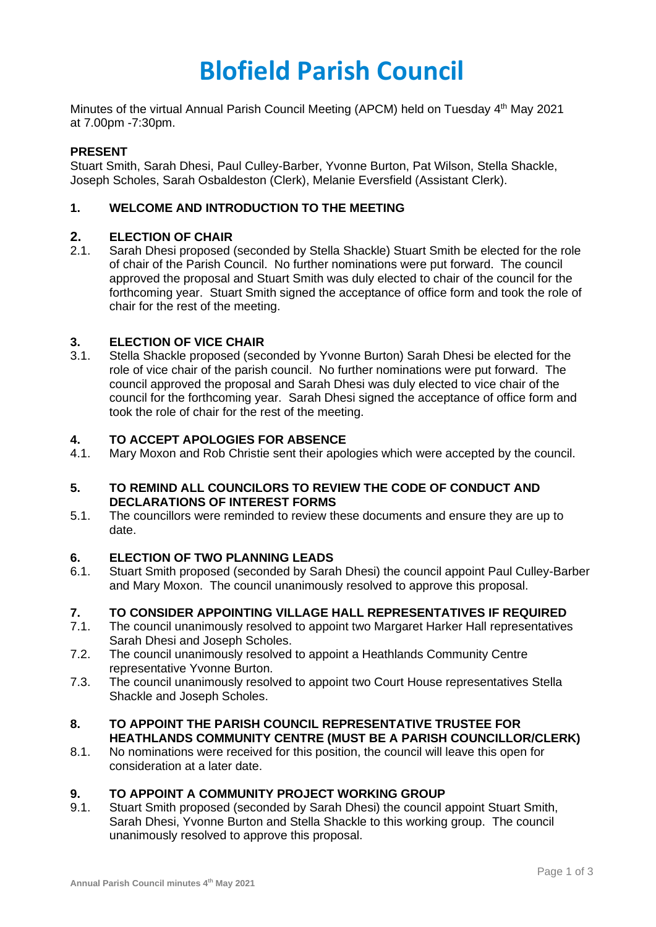# **Blofield Parish Council**

Minutes of the virtual Annual Parish Council Meeting (APCM) held on Tuesday 4<sup>th</sup> May 2021 at 7.00pm -7:30pm.

## **PRESENT**

Stuart Smith, Sarah Dhesi, Paul Culley-Barber, Yvonne Burton, Pat Wilson, Stella Shackle, Joseph Scholes, Sarah Osbaldeston (Clerk), Melanie Eversfield (Assistant Clerk).

# **1. WELCOME AND INTRODUCTION TO THE MEETING**

# **2. ELECTION OF CHAIR**

2.1. Sarah Dhesi proposed (seconded by Stella Shackle) Stuart Smith be elected for the role of chair of the Parish Council. No further nominations were put forward. The council approved the proposal and Stuart Smith was duly elected to chair of the council for the forthcoming year. Stuart Smith signed the acceptance of office form and took the role of chair for the rest of the meeting.

### **3. ELECTION OF VICE CHAIR**

3.1. Stella Shackle proposed (seconded by Yvonne Burton) Sarah Dhesi be elected for the role of vice chair of the parish council. No further nominations were put forward. The council approved the proposal and Sarah Dhesi was duly elected to vice chair of the council for the forthcoming year. Sarah Dhesi signed the acceptance of office form and took the role of chair for the rest of the meeting.

# **4. TO ACCEPT APOLOGIES FOR ABSENCE**

4.1. Mary Moxon and Rob Christie sent their apologies which were accepted by the council.

### **5. TO REMIND ALL COUNCILORS TO REVIEW THE CODE OF CONDUCT AND DECLARATIONS OF INTEREST FORMS**

5.1. The councillors were reminded to review these documents and ensure they are up to date.

# **6. ELECTION OF TWO PLANNING LEADS**

6.1. Stuart Smith proposed (seconded by Sarah Dhesi) the council appoint Paul Culley-Barber and Mary Moxon. The council unanimously resolved to approve this proposal.

# **7. TO CONSIDER APPOINTING VILLAGE HALL REPRESENTATIVES IF REQUIRED**

- 7.1. The council unanimously resolved to appoint two Margaret Harker Hall representatives Sarah Dhesi and Joseph Scholes.
- 7.2. The council unanimously resolved to appoint a Heathlands Community Centre representative Yvonne Burton.
- 7.3. The council unanimously resolved to appoint two Court House representatives Stella Shackle and Joseph Scholes.

### **8. TO APPOINT THE PARISH COUNCIL REPRESENTATIVE TRUSTEE FOR HEATHLANDS COMMUNITY CENTRE (MUST BE A PARISH COUNCILLOR/CLERK)**

8.1. No nominations were received for this position, the council will leave this open for consideration at a later date.

#### **9. TO APPOINT A COMMUNITY PROJECT WORKING GROUP**

9.1. Stuart Smith proposed (seconded by Sarah Dhesi) the council appoint Stuart Smith, Sarah Dhesi, Yvonne Burton and Stella Shackle to this working group. The council unanimously resolved to approve this proposal.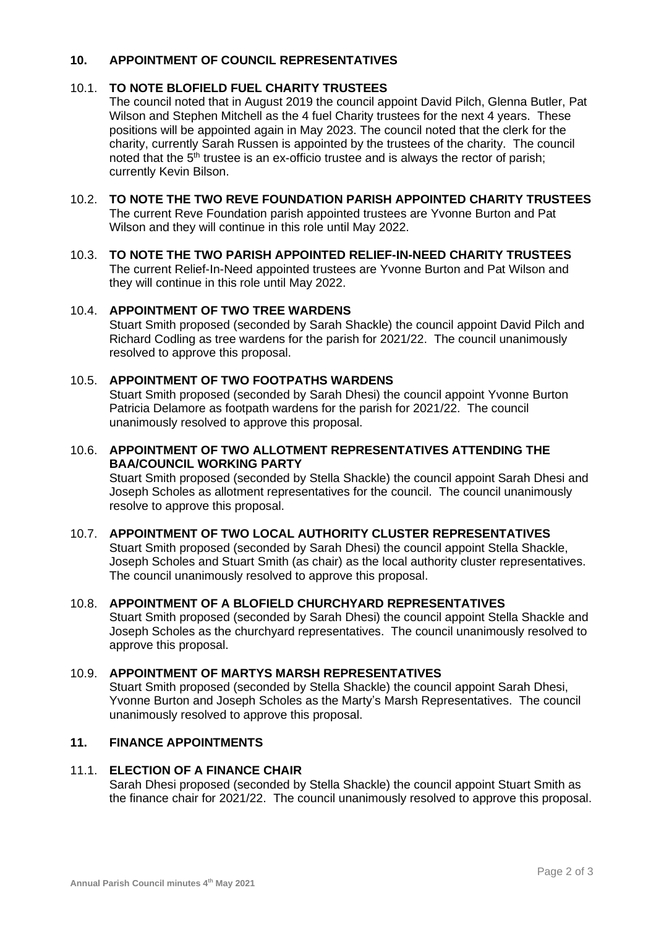### **10. APPOINTMENT OF COUNCIL REPRESENTATIVES**

# 10.1. **TO NOTE BLOFIELD FUEL CHARITY TRUSTEES**

The council noted that in August 2019 the council appoint David Pilch, Glenna Butler, Pat Wilson and Stephen Mitchell as the 4 fuel Charity trustees for the next 4 years. These positions will be appointed again in May 2023. The council noted that the clerk for the charity, currently Sarah Russen is appointed by the trustees of the charity. The council noted that the  $5<sup>th</sup>$  trustee is an ex-officio trustee and is always the rector of parish; currently Kevin Bilson.

#### 10.2. **TO NOTE THE TWO REVE FOUNDATION PARISH APPOINTED CHARITY TRUSTEES** The current Reve Foundation parish appointed trustees are Yvonne Burton and Pat Wilson and they will continue in this role until May 2022.

## 10.3. **TO NOTE THE TWO PARISH APPOINTED RELIEF-IN-NEED CHARITY TRUSTEES** The current Relief-In-Need appointed trustees are Yvonne Burton and Pat Wilson and they will continue in this role until May 2022.

### 10.4. **APPOINTMENT OF TWO TREE WARDENS**

Stuart Smith proposed (seconded by Sarah Shackle) the council appoint David Pilch and Richard Codling as tree wardens for the parish for 2021/22. The council unanimously resolved to approve this proposal.

## 10.5. **APPOINTMENT OF TWO FOOTPATHS WARDENS**

Stuart Smith proposed (seconded by Sarah Dhesi) the council appoint Yvonne Burton Patricia Delamore as footpath wardens for the parish for 2021/22. The council unanimously resolved to approve this proposal.

#### 10.6. **APPOINTMENT OF TWO ALLOTMENT REPRESENTATIVES ATTENDING THE BAA/COUNCIL WORKING PARTY**

Stuart Smith proposed (seconded by Stella Shackle) the council appoint Sarah Dhesi and Joseph Scholes as allotment representatives for the council. The council unanimously resolve to approve this proposal.

# 10.7. **APPOINTMENT OF TWO LOCAL AUTHORITY CLUSTER REPRESENTATIVES**

Stuart Smith proposed (seconded by Sarah Dhesi) the council appoint Stella Shackle, Joseph Scholes and Stuart Smith (as chair) as the local authority cluster representatives. The council unanimously resolved to approve this proposal.

#### 10.8. **APPOINTMENT OF A BLOFIELD CHURCHYARD REPRESENTATIVES**

Stuart Smith proposed (seconded by Sarah Dhesi) the council appoint Stella Shackle and Joseph Scholes as the churchyard representatives. The council unanimously resolved to approve this proposal.

## 10.9. **APPOINTMENT OF MARTYS MARSH REPRESENTATIVES**

Stuart Smith proposed (seconded by Stella Shackle) the council appoint Sarah Dhesi, Yvonne Burton and Joseph Scholes as the Marty's Marsh Representatives. The council unanimously resolved to approve this proposal.

# **11. FINANCE APPOINTMENTS**

#### 11.1. **ELECTION OF A FINANCE CHAIR**

Sarah Dhesi proposed (seconded by Stella Shackle) the council appoint Stuart Smith as the finance chair for 2021/22. The council unanimously resolved to approve this proposal.